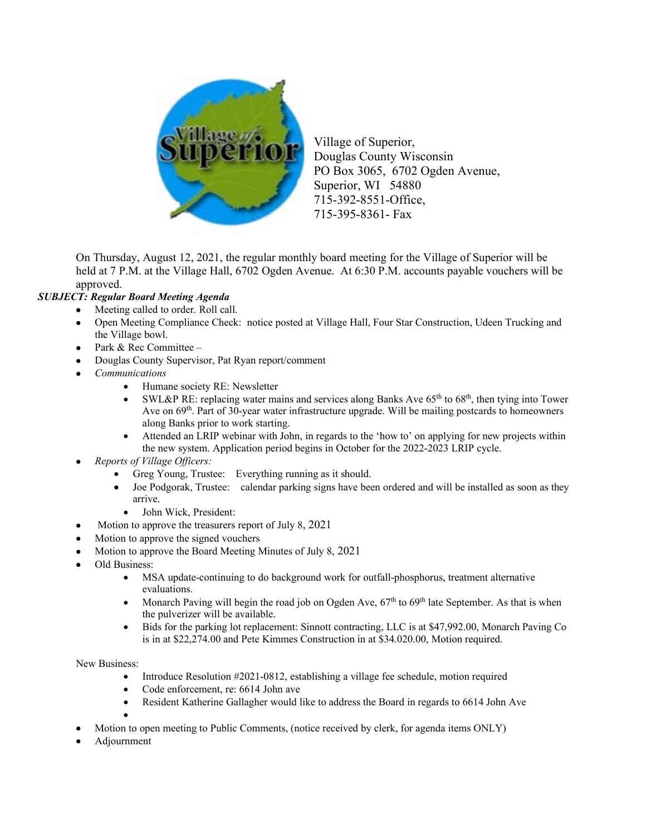

Village of Superior, Douglas County Wisconsin PO Box 3065, 6702 Ogden Avenue, Superior, WI 54880 715-392-8551-Office, 715-395-8361- Fax

On Thursday, August 12, 2021, the regular monthly board meeting for the Village of Superior will be held at 7 P.M. at the Village Hall, 6702 Ogden Avenue. At 6:30 P.M. accounts payable vouchers will be approved.

## *SUBJECT: Regular Board Meeting Agenda*

- Meeting called to order. Roll call.
- Open Meeting Compliance Check: notice posted at Village Hall, Four Star Construction, Udeen Trucking and the Village bowl.
- Park & Rec Committee -
- Douglas County Supervisor, Pat Ryan report/comment
- *Communications*
	- Humane society RE: Newsletter
	- SWL&P RE: replacing water mains and services along Banks Ave  $65<sup>th</sup>$  to  $68<sup>th</sup>$ , then tying into Tower Ave on 69<sup>th</sup>. Part of 30-year water infrastructure upgrade. Will be mailing postcards to homeowners along Banks prior to work starting.
	- Attended an LRIP webinar with John, in regards to the 'how to' on applying for new projects within the new system. Application period begins in October for the 2022-2023 LRIP cycle.
- *Reports of Village Officers:* 
	- Greg Young, Trustee: Everything running as it should.
	- Joe Podgorak, Trustee: calendar parking signs have been ordered and will be installed as soon as they arrive.
		- John Wick, President:
- Motion to approve the treasurers report of July 8, 2021
- Motion to approve the signed vouchers
- Motion to approve the Board Meeting Minutes of July 8, 2021
- Old Business:
	- MSA update-continuing to do background work for outfall-phosphorus, treatment alternative evaluations.
	- Monarch Paving will begin the road job on Ogden Ave,  $67<sup>th</sup>$  to  $69<sup>th</sup>$  late September. As that is when the pulverizer will be available.
	- Bids for the parking lot replacement: Sinnott contracting, LLC is at \$47,992.00, Monarch Paving Co is in at \$22,274.00 and Pete Kimmes Construction in at \$34.020.00, Motion required.

New Business:

- Introduce Resolution #2021-0812, establishing a village fee schedule, motion required
- Code enforcement, re: 6614 John ave
- Resident Katherine Gallagher would like to address the Board in regards to 6614 John Ave

•

- Motion to open meeting to Public Comments, (notice received by clerk, for agenda items ONLY)
- Adjournment